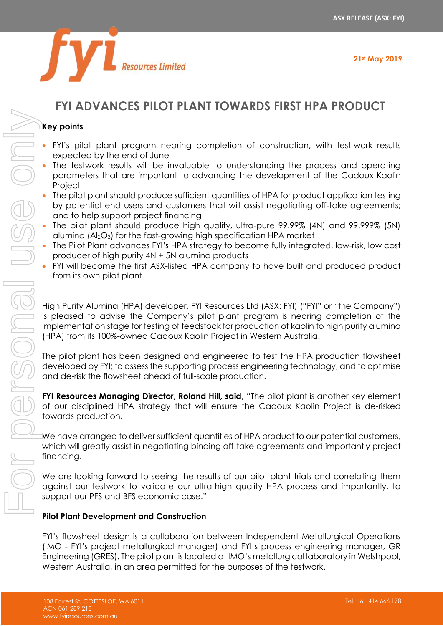

# **FYI ADVANCES PILOT PLANT TOWARDS FIRST HPA PRODUCT**

# **Key points**

- FYI's pilot plant program nearing completion of construction, with test-work results expected by the end of June
- The testwork results will be invaluable to understanding the process and operating parameters that are important to advancing the development of the Cadoux Kaolin **Project**
- The pilot plant should produce sufficient quantities of HPA for product application testing by potential end users and customers that will assist negotiating off-take agreements; and to help support project financing
- The pilot plant should produce high quality, ultra-pure 99.99% (4N) and 99.999% (5N) alumina  $(A<sub>2</sub>O<sub>3</sub>)$  for the fast-growing high specification HPA market
- The Pilot Plant advances FYI's HPA strategy to become fully integrated, low-risk, low cost producer of high purity 4N + 5N alumina products
- FYI will become the first ASX-listed HPA company to have built and produced product from its own pilot plant

High Purity Alumina (HPA) developer, FYI Resources Ltd (ASX: FYI) ("FYI" or "the Company") is pleased to advise the Company's pilot plant program is nearing completion of the implementation stage for testing of feedstock for production of kaolin to high purity alumina (HPA) from its 100%-owned Cadoux Kaolin Project in Western Australia.

The pilot plant has been designed and engineered to test the HPA production flowsheet developed by FYI; to assess the supporting process engineering technology; and to optimise and de-risk the flowsheet ahead of full-scale production.

**FYI Resources Managing Director, Roland Hill, said,** "The pilot plant is another key element of our disciplined HPA strategy that will ensure the Cadoux Kaolin Project is de-risked towards production.

We have arranged to deliver sufficient quantities of HPA product to our potential customers, which will greatly assist in negotiating binding off-take agreements and importantly project financing.

We are looking forward to seeing the results of our pilot plant trials and correlating them against our testwork to validate our ultra-high quality HPA process and importantly, to support our PFS and BFS economic case."

# **Pilot Plant Development and Construction**

FYI's flowsheet design is a collaboration between Independent Metallurgical Operations (IMO - FYI's project metallurgical manager) and FYI's process engineering manager, GR Engineering (GRES). The pilot plant is located at IMO's metallurgical laboratory in Welshpool,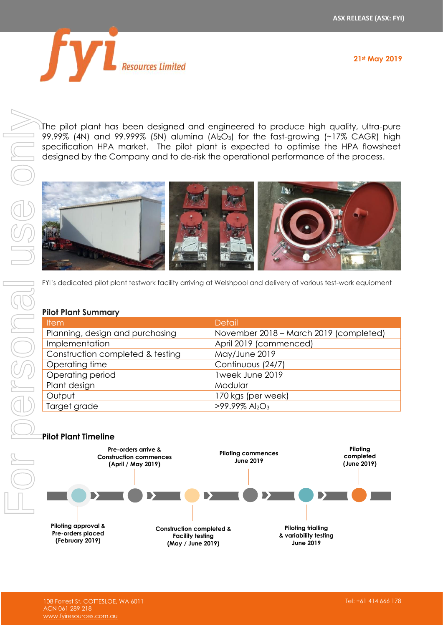

For personal use onlyersona

The pilot plant has been designed and engineered to produce high quality, ultra-pure  $99.99\%$  (4N) and  $99.999\%$  (5N) alumina (Al<sub>2</sub>O<sub>3</sub>) for the fast-growing (~17% CAGR) high specification HPA market. The pilot plant is expected to optimise the HPA flowsheet designed by the Company and to de-risk the operational performance of the process.



FYI's dedicated pilot plant testwork facility arriving at Welshpool and delivery of various test-work equipment

#### **Pilot Plant Summary**

| <b>Item</b>                      | <b>Detail</b>                             |
|----------------------------------|-------------------------------------------|
| Planning, design and purchasing  | November 2018 - March 2019 (completed)    |
| Implementation                   | April 2019 (commenced)                    |
| Construction completed & testing | May/June 2019                             |
| Operating time                   | Continuous (24/7)                         |
| Operating period                 | 1week June 2019                           |
| Plant design                     | Modular                                   |
| Output                           | 170 kgs (per week)                        |
| Target grade                     | $>99.99\%$ Al <sub>2</sub> O <sub>3</sub> |

### **Pilot Plant Timeline**

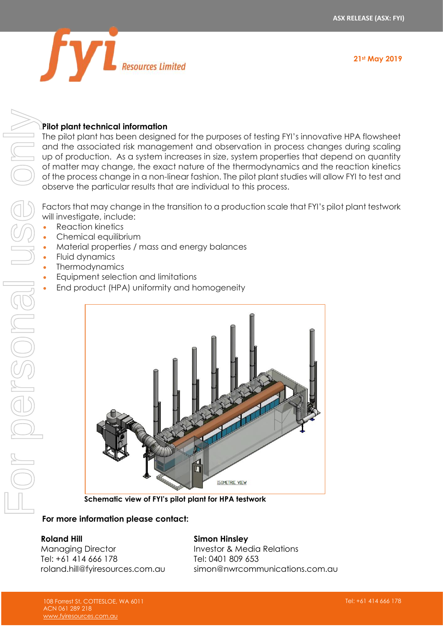

# **Pilot plant technical information**

The pilot plant has been designed for the purposes of testing FYI's innovative HPA flowsheet and the associated risk management and observation in process changes during scaling up of production. As a system increases in size, system properties that depend on quantity of matter may change, the exact nature of the thermodynamics and the reaction kinetics of the process change in a non-linear fashion. The pilot plant studies will allow FYI to test and observe the particular results that are individual to this process. For personal use only

Factors that may change in the transition to a production scale that FYI's pilot plant testwork will investigate, include:

- Reaction kinetics
- Chemical equilibrium
- Material properties / mass and energy balances
- Fluid dynamics

Dersonal

- **Thermodynamics**
- Equipment selection and limitations
- End product (HPA) uniformity and homogeneity



**Schematic view of FYI's pilot plant for HPA testwork**

# **For more information please contact:**

### **Roland Hill**

Managing Director Tel: +61 414 666 178 roland.hill@fyiresources.com.au

### **Simon Hinsley**

Investor & Media Relations Tel: 0401 809 653 simon@nwrcommunications.com.au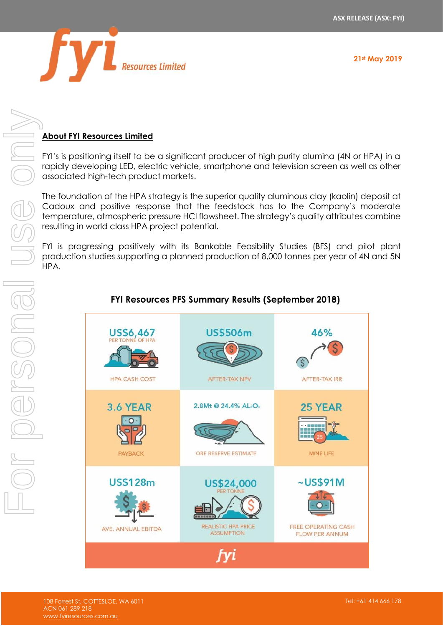

# **About FYI Resources Limited**

FYI's is positioning itself to be a significant producer of high purity alumina (4N or HPA) in a rapidly developing LED, electric vehicle, smartphone and television screen as well as other associated high-tech product markets.

The foundation of the HPA strategy is the superior quality aluminous clay (kaolin) deposit at Cadoux and positive response that the feedstock has to the Company's moderate temperature, atmospheric pressure HCl flowsheet. The strategy's quality attributes combine resulting in world class HPA project potential.

FYI is progressing positively with its Bankable Feasibility Studies (BFS) and pilot plant production studies supporting a planned production of 8,000 tonnes per year of 4N and 5N HPA.



### **FYI Resources PFS Summary Results (September 2018)**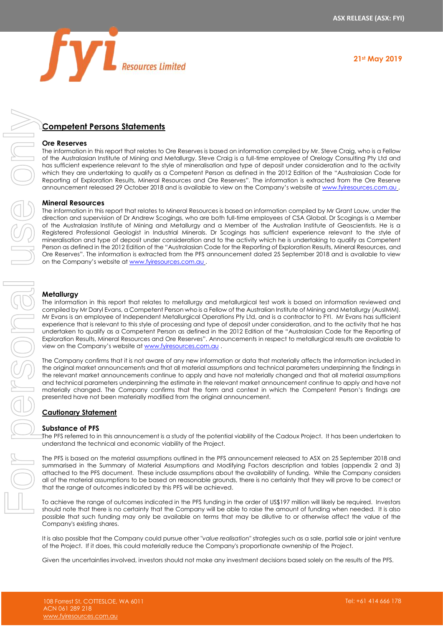

### **Competent Persons Statements**

#### **Ore Reserves**

The information in this report that relates to Ore Reserves is based on information compiled by Mr. Steve Craig, who is a Fellow of the Australasian Institute of Mining and Metallurgy. Steve Craig is a full-time employee of Orelogy Consulting Pty Ltd and has sufficient experience relevant to the style of mineralisation and type of deposit under consideration and to the activity which they are undertaking to qualify as a Competent Person as defined in the 2012 Edition of the "Australasian Code for Reporting of Exploration Results, Mineral Resources and Ore Reserves". The information is extracted from the Ore Reserve announcement released 29 October 2018 and is available to view on the Company's website at [www.fyiresources.com.au](http://www.fyiresources.com.au/) .

#### **Mineral Resources**

The information in this report that relates to Mineral Resources is based on information compiled by Mr Grant Louw, under the direction and supervision of Dr Andrew Scogings, who are both full-time employees of CSA Global. Dr Scogings is a Member of the Australasian Institute of Mining and Metallurgy and a Member of the Australian Institute of Geoscientists. He is a Registered Professional Geologist in Industrial Minerals. Dr Scogings has sufficient experience relevant to the style of mineralisation and type of deposit under consideration and to the activity which he is undertaking to qualify as Competent Person as defined in the 2012 Edition of the "Australasian Code for the Reporting of Exploration Results, Mineral Resources, and Ore Reserves". The information is extracted from the PFS announcement dated 25 September 2018 and is available to view on the Company's website at [www.fyiresources.com.au](http://www.fyiresources.com.au/) . Competent Persons Statements<br>
The normalism results of the uncertainty of the uncertainty completely at the complete of the should not make any investors of the results of the results of the results of the PFS. For person

#### **Metallurgy**

The information in this report that relates to metallurgy and metallurgical test work is based on information reviewed and compiled by Mr Daryl Evans, a Competent Person who is a Fellow of the Australian Institute of Mining and Metallurgy (AusIMM). Mr Evans is an employee of Independent Metallurgical Operations Pty Ltd, and is a contractor to FYI. Mr Evans has sufficient experience that is relevant to this style of processing and type of deposit under consideration, and to the activity that he has undertaken to qualify as a Competent Person as defined in the 2012 Edition of the "Australasian Code for the Reporting of Exploration Results, Mineral Resources and Ore Reserves". Announcements in respect to metallurgical results are available to view on the Company's website at [www.fyiresources.com.au](http://www.fyiresources.com.au/).

The Company confirms that it is not aware of any new information or data that materially affects the information included in the original market announcements and that all material assumptions and technical parameters underpinning the findings in the relevant market announcements continue to apply and have not materially changed and that all material assumptions and technical parameters underpinning the estimate in the relevant market announcement continue to apply and have not materially changed. The Company confirms that the form and context in which the Competent Person's findings are presented have not been materially modified from the original announcement.

#### **Cautionary Statement**

#### **Substance of PFS**

The PFS referred to in this announcement is a study of the potential viability of the Cadoux Project. It has been undertaken to understand the technical and economic viability of the Project.

The PFS is based on the material assumptions outlined in the PFS announcement released to ASX on 25 September 2018 and summarised in the Summary of Material Assumptions and Modifying Factors description and tables (appendix 2 and 3) attached to the PFS document. These include assumptions about the availability of funding. While the Company considers all of the material assumptions to be based on reasonable grounds, there is no certainty that they will prove to be correct or that the range of outcomes indicated by this PFS will be achieved.

To achieve the range of outcomes indicated in the PFS funding in the order of US\$197 million will likely be required. Investors should note that there is no certainty that the Company will be able to raise the amount of funding when needed. It is also possible that such funding may only be available on terms that may be dilutive to or otherwise affect the value of the Company's existing shares.

It is also possible that the Company could pursue other "*value realisation*" strategies such as a sale, partial sale or joint venture of the Project. If it does, this could materially reduce the Company's proportionate ownership of the Project.